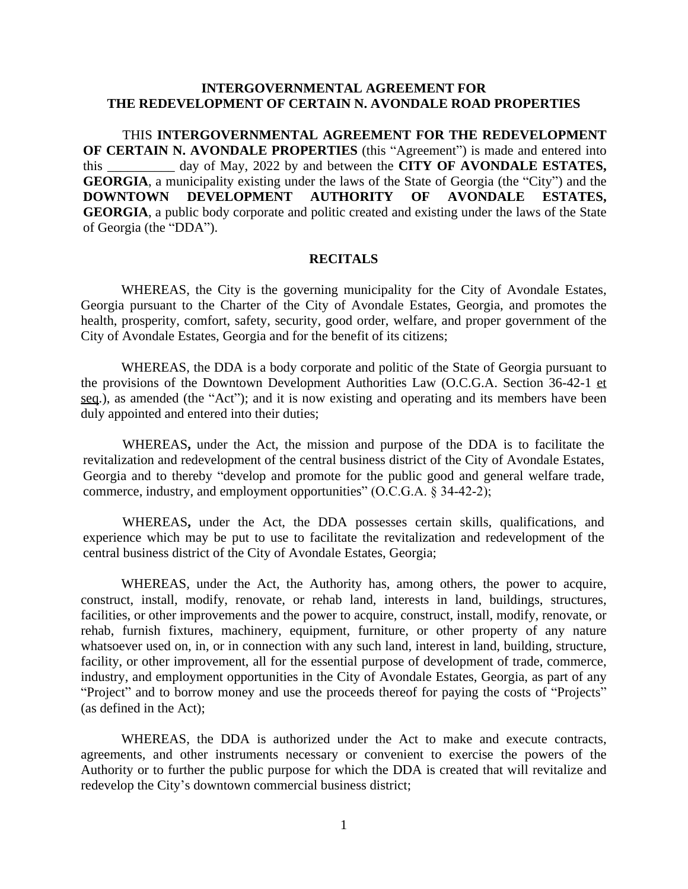## **INTERGOVERNMENTAL AGREEMENT FOR THE REDEVELOPMENT OF CERTAIN N. AVONDALE ROAD PROPERTIES**

THIS **INTERGOVERNMENTAL AGREEMENT FOR THE REDEVELOPMENT OF CERTAIN N. AVONDALE PROPERTIES** (this "Agreement") is made and entered into this \_\_\_\_\_\_\_\_\_\_ day of May, 2022 by and between the **CITY OF AVONDALE ESTATES, GEORGIA**, a municipality existing under the laws of the State of Georgia (the "City") and the DOWNTOWN DEVELOPMENT AUTHORITY OF AVONDALE ESTATES, **DOWNTOWN DEVELOPMENT AUTHORITY OF AVONDALE ESTATES, GEORGIA**, a public body corporate and politic created and existing under the laws of the State of Georgia (the "DDA").

### **RECITALS**

WHEREAS, the City is the governing municipality for the City of Avondale Estates, Georgia pursuant to the Charter of the City of Avondale Estates, Georgia, and promotes the health, prosperity, comfort, safety, security, good order, welfare, and proper government of the City of Avondale Estates, Georgia and for the benefit of its citizens;

WHEREAS, the DDA is a body corporate and politic of the State of Georgia pursuant to the provisions of the Downtown Development Authorities Law (O.C.G.A. Section 36-42-1 et seq.), as amended (the "Act"); and it is now existing and operating and its members have been duly appointed and entered into their duties;

WHEREAS**,** under the Act, the mission and purpose of the DDA is to facilitate the revitalization and redevelopment of the central business district of the City of Avondale Estates, Georgia and to thereby "develop and promote for the public good and general welfare trade, commerce, industry, and employment opportunities" (O.C.G.A. § 34-42-2);

WHEREAS**,** under the Act, the DDA possesses certain skills, qualifications, and experience which may be put to use to facilitate the revitalization and redevelopment of the central business district of the City of Avondale Estates, Georgia;

WHEREAS, under the Act, the Authority has, among others, the power to acquire, construct, install, modify, renovate, or rehab land, interests in land, buildings, structures, facilities, or other improvements and the power to acquire, construct, install, modify, renovate, or rehab, furnish fixtures, machinery, equipment, furniture, or other property of any nature whatsoever used on, in, or in connection with any such land, interest in land, building, structure, facility, or other improvement, all for the essential purpose of development of trade, commerce, industry, and employment opportunities in the City of Avondale Estates, Georgia, as part of any "Project" and to borrow money and use the proceeds thereof for paying the costs of "Projects" (as defined in the Act);

WHEREAS, the DDA is authorized under the Act to make and execute contracts, agreements, and other instruments necessary or convenient to exercise the powers of the Authority or to further the public purpose for which the DDA is created that will revitalize and redevelop the City's downtown commercial business district;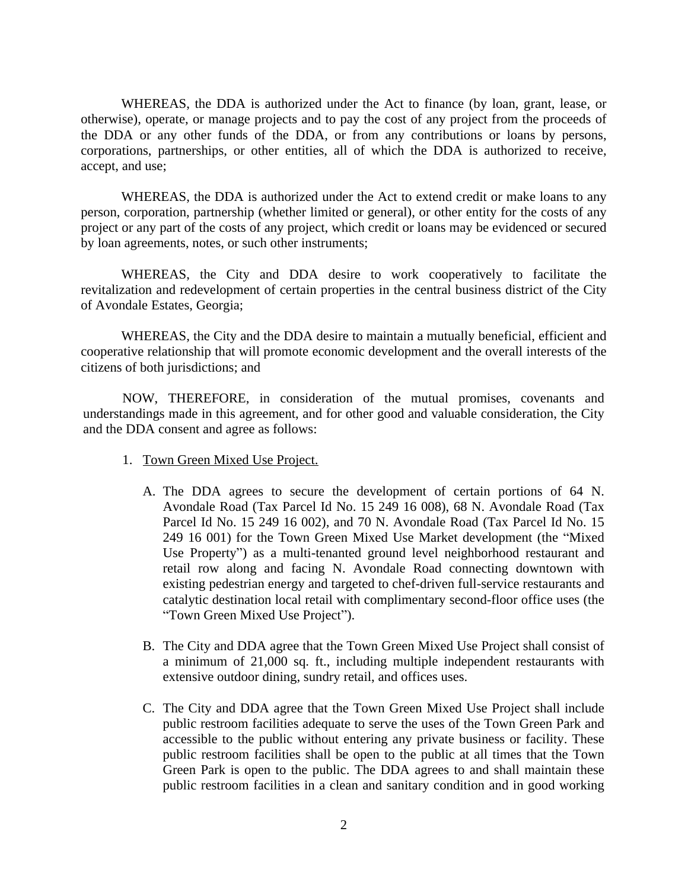WHEREAS, the DDA is authorized under the Act to finance (by loan, grant, lease, or otherwise), operate, or manage projects and to pay the cost of any project from the proceeds of the DDA or any other funds of the DDA, or from any contributions or loans by persons, corporations, partnerships, or other entities, all of which the DDA is authorized to receive, accept, and use;

WHEREAS, the DDA is authorized under the Act to extend credit or make loans to any person, corporation, partnership (whether limited or general), or other entity for the costs of any project or any part of the costs of any project, which credit or loans may be evidenced or secured by loan agreements, notes, or such other instruments;

WHEREAS, the City and DDA desire to work cooperatively to facilitate the revitalization and redevelopment of certain properties in the central business district of the City of Avondale Estates, Georgia;

WHEREAS, the City and the DDA desire to maintain a mutually beneficial, efficient and cooperative relationship that will promote economic development and the overall interests of the citizens of both jurisdictions; and

NOW, THEREFORE, in consideration of the mutual promises, covenants and understandings made in this agreement, and for other good and valuable consideration, the City and the DDA consent and agree as follows:

- 1. Town Green Mixed Use Project.
	- A. The DDA agrees to secure the development of certain portions of 64 N. Avondale Road (Tax Parcel Id No. 15 249 16 008), 68 N. Avondale Road (Tax Parcel Id No. 15 249 16 002), and 70 N. Avondale Road (Tax Parcel Id No. 15 249 16 001) for the Town Green Mixed Use Market development (the "Mixed Use Property") as a multi-tenanted ground level neighborhood restaurant and retail row along and facing N. Avondale Road connecting downtown with existing pedestrian energy and targeted to chef-driven full-service restaurants and catalytic destination local retail with complimentary second-floor office uses (the "Town Green Mixed Use Project").
	- B. The City and DDA agree that the Town Green Mixed Use Project shall consist of a minimum of 21,000 sq. ft., including multiple independent restaurants with extensive outdoor dining, sundry retail, and offices uses.
	- C. The City and DDA agree that the Town Green Mixed Use Project shall include public restroom facilities adequate to serve the uses of the Town Green Park and accessible to the public without entering any private business or facility. These public restroom facilities shall be open to the public at all times that the Town Green Park is open to the public. The DDA agrees to and shall maintain these public restroom facilities in a clean and sanitary condition and in good working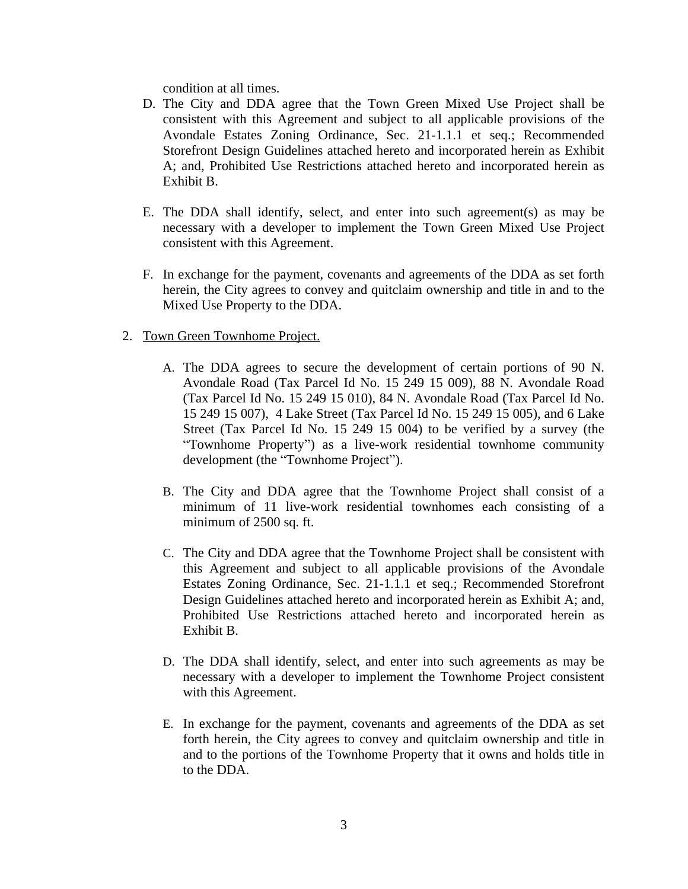condition at all times.

- D. The City and DDA agree that the Town Green Mixed Use Project shall be consistent with this Agreement and subject to all applicable provisions of the Avondale Estates Zoning Ordinance, Sec. 21-1.1.1 et seq.; Recommended Storefront Design Guidelines attached hereto and incorporated herein as Exhibit A; and, Prohibited Use Restrictions attached hereto and incorporated herein as Exhibit B.
- E. The DDA shall identify, select, and enter into such agreement(s) as may be necessary with a developer to implement the Town Green Mixed Use Project consistent with this Agreement.
- F. In exchange for the payment, covenants and agreements of the DDA as set forth herein, the City agrees to convey and quitclaim ownership and title in and to the Mixed Use Property to the DDA.
- 2. Town Green Townhome Project.
	- A. The DDA agrees to secure the development of certain portions of 90 N. Avondale Road (Tax Parcel Id No. 15 249 15 009), 88 N. Avondale Road (Tax Parcel Id No. 15 249 15 010), 84 N. Avondale Road (Tax Parcel Id No. 15 249 15 007), 4 Lake Street (Tax Parcel Id No. 15 249 15 005), and 6 Lake Street (Tax Parcel Id No. 15 249 15 004) to be verified by a survey (the "Townhome Property") as a live-work residential townhome community development (the "Townhome Project").
	- B. The City and DDA agree that the Townhome Project shall consist of a minimum of 11 live-work residential townhomes each consisting of a minimum of 2500 sq. ft.
	- C. The City and DDA agree that the Townhome Project shall be consistent with this Agreement and subject to all applicable provisions of the Avondale Estates Zoning Ordinance, Sec. 21-1.1.1 et seq.; Recommended Storefront Design Guidelines attached hereto and incorporated herein as Exhibit A; and, Prohibited Use Restrictions attached hereto and incorporated herein as Exhibit B.
	- D. The DDA shall identify, select, and enter into such agreements as may be necessary with a developer to implement the Townhome Project consistent with this Agreement.
	- E. In exchange for the payment, covenants and agreements of the DDA as set forth herein, the City agrees to convey and quitclaim ownership and title in and to the portions of the Townhome Property that it owns and holds title in to the DDA.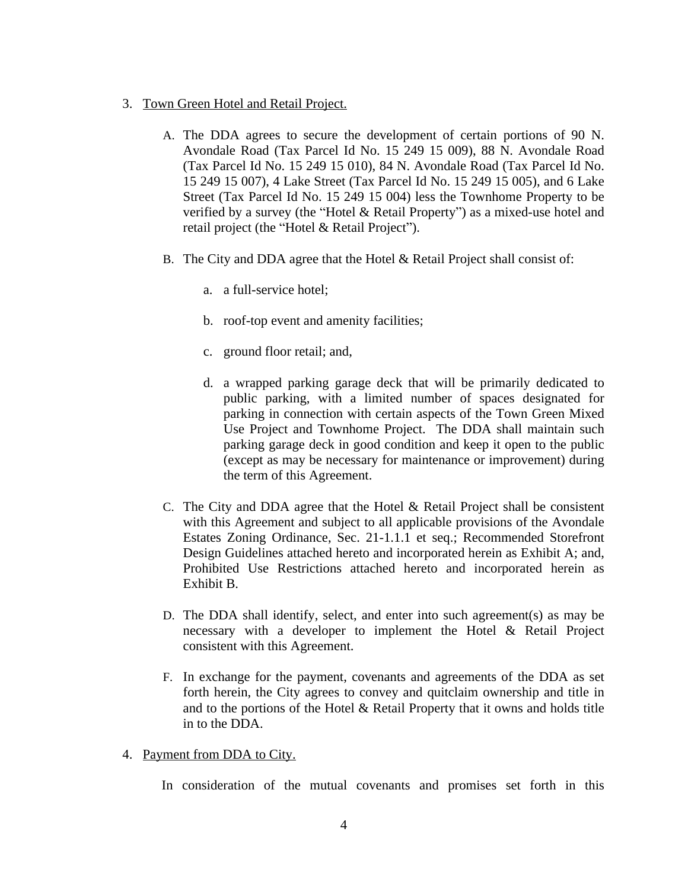- 3. Town Green Hotel and Retail Project.
	- A. The DDA agrees to secure the development of certain portions of 90 N. Avondale Road (Tax Parcel Id No. 15 249 15 009), 88 N. Avondale Road (Tax Parcel Id No. 15 249 15 010), 84 N. Avondale Road (Tax Parcel Id No. 15 249 15 007), 4 Lake Street (Tax Parcel Id No. 15 249 15 005), and 6 Lake Street (Tax Parcel Id No. 15 249 15 004) less the Townhome Property to be verified by a survey (the "Hotel & Retail Property") as a mixed-use hotel and retail project (the "Hotel & Retail Project").
	- B. The City and DDA agree that the Hotel & Retail Project shall consist of:
		- a. a full-service hotel;
		- b. roof-top event and amenity facilities;
		- c. ground floor retail; and,
		- d. a wrapped parking garage deck that will be primarily dedicated to public parking, with a limited number of spaces designated for parking in connection with certain aspects of the Town Green Mixed Use Project and Townhome Project. The DDA shall maintain such parking garage deck in good condition and keep it open to the public (except as may be necessary for maintenance or improvement) during the term of this Agreement.
	- C. The City and DDA agree that the Hotel & Retail Project shall be consistent with this Agreement and subject to all applicable provisions of the Avondale Estates Zoning Ordinance, Sec. 21-1.1.1 et seq.; Recommended Storefront Design Guidelines attached hereto and incorporated herein as Exhibit A; and, Prohibited Use Restrictions attached hereto and incorporated herein as Exhibit B.
	- D. The DDA shall identify, select, and enter into such agreement(s) as may be necessary with a developer to implement the Hotel & Retail Project consistent with this Agreement.
	- F. In exchange for the payment, covenants and agreements of the DDA as set forth herein, the City agrees to convey and quitclaim ownership and title in and to the portions of the Hotel & Retail Property that it owns and holds title in to the DDA.
- 4. Payment from DDA to City.

In consideration of the mutual covenants and promises set forth in this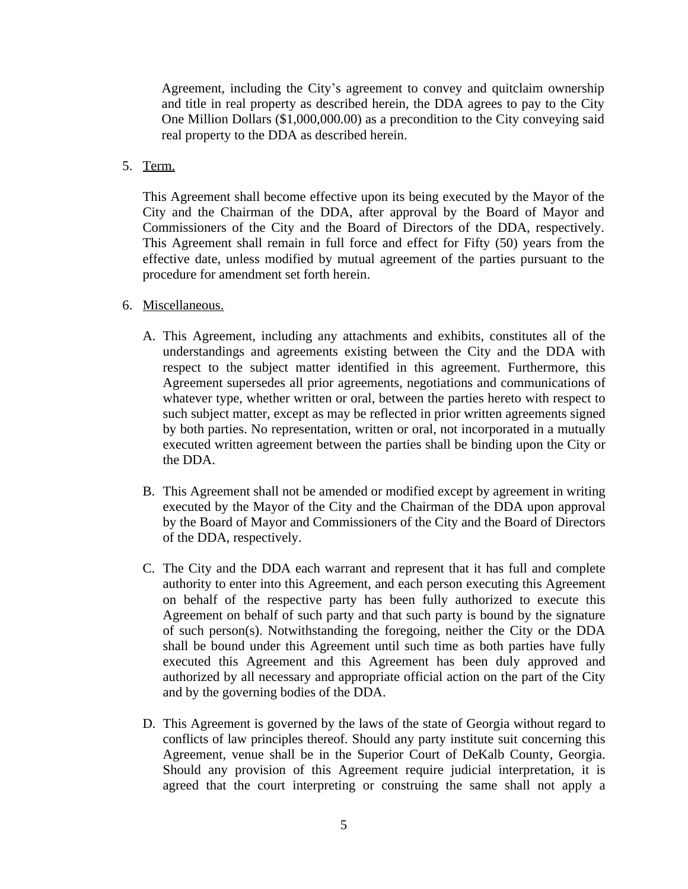Agreement, including the City's agreement to convey and quitclaim ownership and title in real property as described herein, the DDA agrees to pay to the City One Million Dollars (\$1,000,000.00) as a precondition to the City conveying said real property to the DDA as described herein.

5. Term.

This Agreement shall become effective upon its being executed by the Mayor of the City and the Chairman of the DDA, after approval by the Board of Mayor and Commissioners of the City and the Board of Directors of the DDA, respectively. This Agreement shall remain in full force and effect for Fifty (50) years from the effective date, unless modified by mutual agreement of the parties pursuant to the procedure for amendment set forth herein.

- 6. Miscellaneous.
	- A. This Agreement, including any attachments and exhibits, constitutes all of the understandings and agreements existing between the City and the DDA with respect to the subject matter identified in this agreement. Furthermore, this Agreement supersedes all prior agreements, negotiations and communications of whatever type, whether written or oral, between the parties hereto with respect to such subject matter, except as may be reflected in prior written agreements signed by both parties. No representation, written or oral, not incorporated in a mutually executed written agreement between the parties shall be binding upon the City or the DDA.
	- B. This Agreement shall not be amended or modified except by agreement in writing executed by the Mayor of the City and the Chairman of the DDA upon approval by the Board of Mayor and Commissioners of the City and the Board of Directors of the DDA, respectively.
	- C. The City and the DDA each warrant and represent that it has full and complete authority to enter into this Agreement, and each person executing this Agreement on behalf of the respective party has been fully authorized to execute this Agreement on behalf of such party and that such party is bound by the signature of such person(s). Notwithstanding the foregoing, neither the City or the DDA shall be bound under this Agreement until such time as both parties have fully executed this Agreement and this Agreement has been duly approved and authorized by all necessary and appropriate official action on the part of the City and by the governing bodies of the DDA.
	- D. This Agreement is governed by the laws of the state of Georgia without regard to conflicts of law principles thereof. Should any party institute suit concerning this Agreement, venue shall be in the Superior Court of DeKalb County, Georgia. Should any provision of this Agreement require judicial interpretation, it is agreed that the court interpreting or construing the same shall not apply a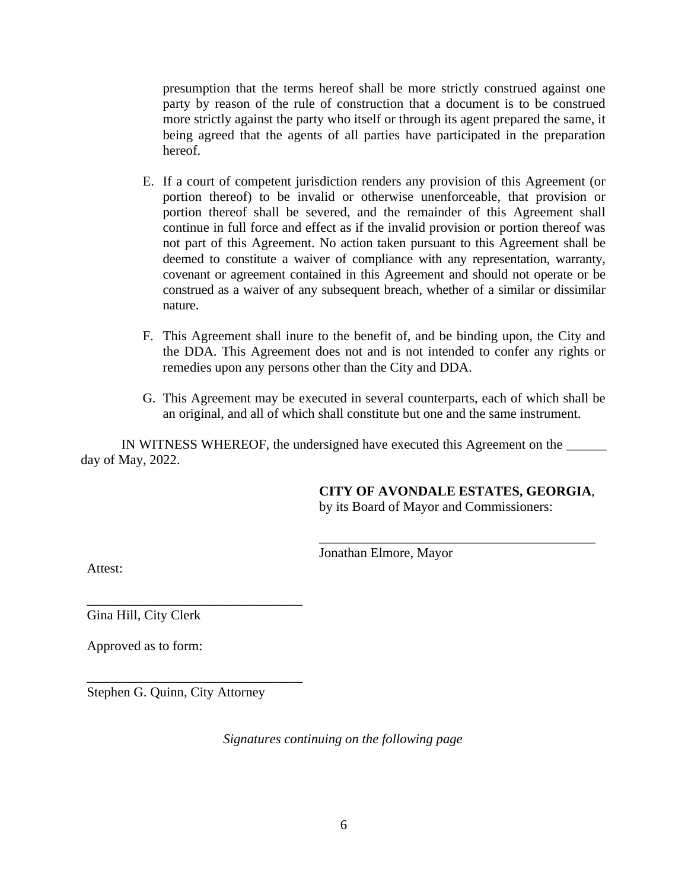presumption that the terms hereof shall be more strictly construed against one party by reason of the rule of construction that a document is to be construed more strictly against the party who itself or through its agent prepared the same, it being agreed that the agents of all parties have participated in the preparation hereof.

- E. If a court of competent jurisdiction renders any provision of this Agreement (or portion thereof) to be invalid or otherwise unenforceable, that provision or portion thereof shall be severed, and the remainder of this Agreement shall continue in full force and effect as if the invalid provision or portion thereof was not part of this Agreement. No action taken pursuant to this Agreement shall be deemed to constitute a waiver of compliance with any representation, warranty, covenant or agreement contained in this Agreement and should not operate or be construed as a waiver of any subsequent breach, whether of a similar or dissimilar nature.
- F. This Agreement shall inure to the benefit of, and be binding upon, the City and the DDA. This Agreement does not and is not intended to confer any rights or remedies upon any persons other than the City and DDA.
- G. This Agreement may be executed in several counterparts, each of which shall be an original, and all of which shall constitute but one and the same instrument.

IN WITNESS WHEREOF, the undersigned have executed this Agreement on the \_\_\_\_\_\_ day of May, 2022.

**CITY OF AVONDALE ESTATES, GEORGIA**,

\_\_\_\_\_\_\_\_\_\_\_\_\_\_\_\_\_\_\_\_\_\_\_\_\_\_\_\_\_\_\_\_\_\_\_\_\_\_\_\_\_

by its Board of Mayor and Commissioners:

Jonathan Elmore, Mayor

Attest:

\_\_\_\_\_\_\_\_\_\_\_\_\_\_\_\_\_\_\_\_\_\_\_\_\_\_\_\_\_\_\_\_ Gina Hill, City Clerk

Approved as to form:

Stephen G. Quinn, City Attorney

\_\_\_\_\_\_\_\_\_\_\_\_\_\_\_\_\_\_\_\_\_\_\_\_\_\_\_\_\_\_\_\_

*Signatures continuing on the following page*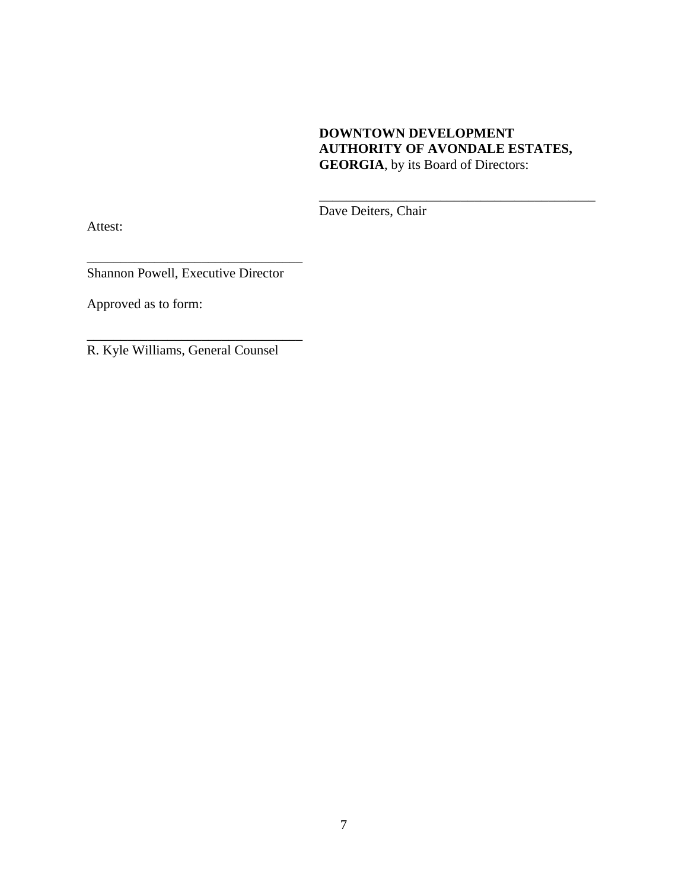# **DOWNTOWN DEVELOPMENT AUTHORITY OF AVONDALE ESTATES, GEORGIA**, by its Board of Directors:

\_\_\_\_\_\_\_\_\_\_\_\_\_\_\_\_\_\_\_\_\_\_\_\_\_\_\_\_\_\_\_\_\_\_\_\_\_\_\_\_\_

Dave Deiters, Chair

\_\_\_\_\_\_\_\_\_\_\_\_\_\_\_\_\_\_\_\_\_\_\_\_\_\_\_\_\_\_\_\_ Shannon Powell, Executive Director

Approved as to form:

Attest:

R. Kyle Williams, General Counsel

\_\_\_\_\_\_\_\_\_\_\_\_\_\_\_\_\_\_\_\_\_\_\_\_\_\_\_\_\_\_\_\_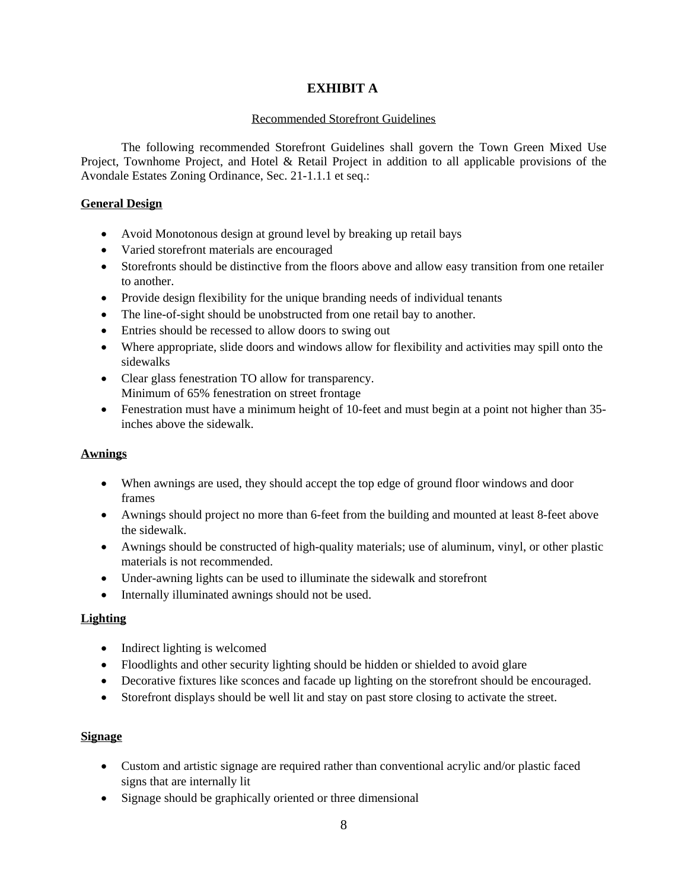## **EXHIBIT A**

#### Recommended Storefront Guidelines

The following recommended Storefront Guidelines shall govern the Town Green Mixed Use Project, Townhome Project, and Hotel & Retail Project in addition to all applicable provisions of the Avondale Estates Zoning Ordinance, Sec. 21-1.1.1 et seq.:

### **General Design**

- Avoid Monotonous design at ground level by breaking up retail bays
- Varied storefront materials are encouraged
- Storefronts should be distinctive from the floors above and allow easy transition from one retailer to another.
- Provide design flexibility for the unique branding needs of individual tenants
- The line-of-sight should be unobstructed from one retail bay to another.
- Entries should be recessed to allow doors to swing out
- Where appropriate, slide doors and windows allow for flexibility and activities may spill onto the sidewalks
- Clear glass fenestration TO allow for transparency. Minimum of 65% fenestration on street frontage
- Fenestration must have a minimum height of 10-feet and must begin at a point not higher than 35inches above the sidewalk.

#### **Awnings**

- When awnings are used, they should accept the top edge of ground floor windows and door frames
- Awnings should project no more than 6-feet from the building and mounted at least 8-feet above the sidewalk.
- Awnings should be constructed of high-quality materials; use of aluminum, vinyl, or other plastic materials is not recommended.
- Under-awning lights can be used to illuminate the sidewalk and storefront
- Internally illuminated awnings should not be used.

#### **Lighting**

- Indirect lighting is welcomed
- Floodlights and other security lighting should be hidden or shielded to avoid glare
- Decorative fixtures like sconces and facade up lighting on the storefront should be encouraged.
- Storefront displays should be well lit and stay on past store closing to activate the street.

#### **Signage**

- Custom and artistic signage are required rather than conventional acrylic and/or plastic faced signs that are internally lit
- Signage should be graphically oriented or three dimensional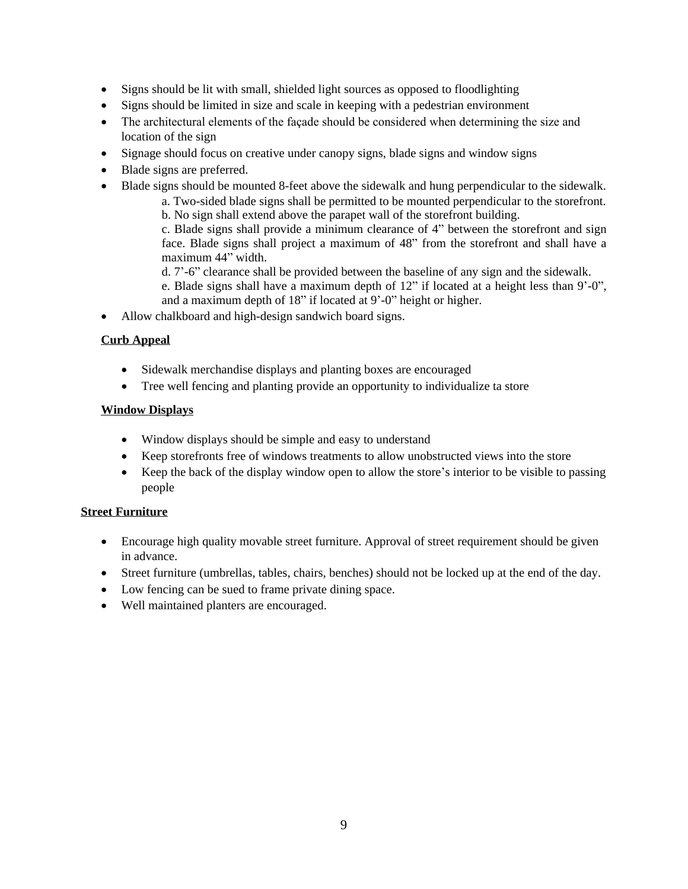- Signs should be lit with small, shielded light sources as opposed to floodlighting
- Signs should be limited in size and scale in keeping with a pedestrian environment
- The architectural elements of the façade should be considered when determining the size and location of the sign
- Signage should focus on creative under canopy signs, blade signs and window signs
- Blade signs are preferred.
- Blade signs should be mounted 8-feet above the sidewalk and hung perpendicular to the sidewalk.
	- a. Two-sided blade signs shall be permitted to be mounted perpendicular to the storefront.
		- b. No sign shall extend above the parapet wall of the storefront building.

c. Blade signs shall provide a minimum clearance of 4" between the storefront and sign face. Blade signs shall project a maximum of 48" from the storefront and shall have a maximum 44" width.

- d. 7'-6" clearance shall be provided between the baseline of any sign and the sidewalk.
- e. Blade signs shall have a maximum depth of 12" if located at a height less than 9'-0", and a maximum depth of 18" if located at 9'-0" height or higher.
- Allow chalkboard and high-design sandwich board signs.

### **Curb Appeal**

- Sidewalk merchandise displays and planting boxes are encouraged
- Tree well fencing and planting provide an opportunity to individualize ta store

#### **Window Displays**

- Window displays should be simple and easy to understand
- Keep storefronts free of windows treatments to allow unobstructed views into the store
- Keep the back of the display window open to allow the store's interior to be visible to passing people

### **Street Furniture**

- Encourage high quality movable street furniture. Approval of street requirement should be given in advance.
- Street furniture (umbrellas, tables, chairs, benches) should not be locked up at the end of the day.
- Low fencing can be sued to frame private dining space.
- Well maintained planters are encouraged.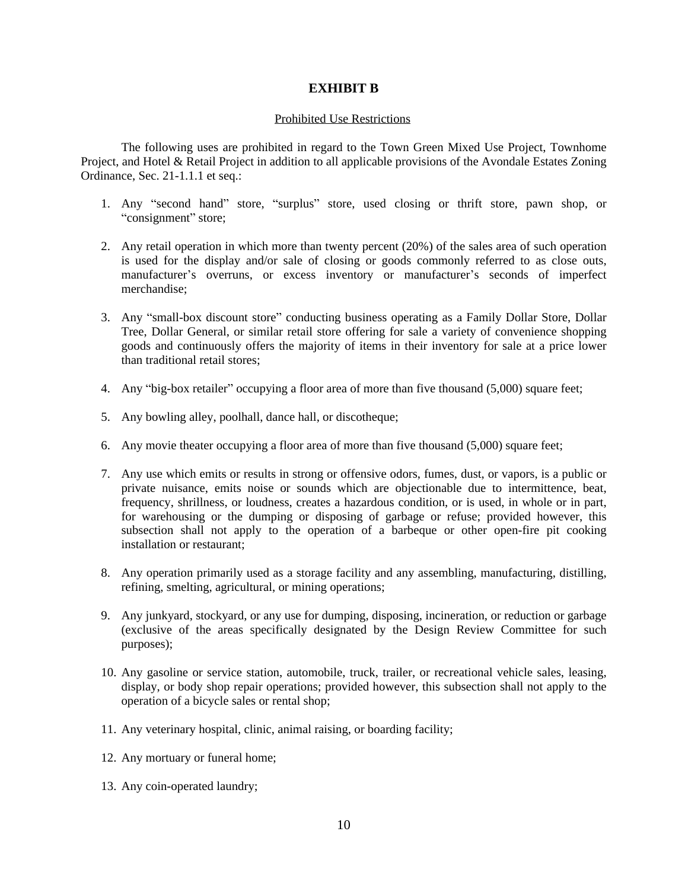#### **EXHIBIT B**

#### Prohibited Use Restrictions

The following uses are prohibited in regard to the Town Green Mixed Use Project, Townhome Project, and Hotel & Retail Project in addition to all applicable provisions of the Avondale Estates Zoning Ordinance, Sec. 21-1.1.1 et seq.:

- 1. Any "second hand" store, "surplus" store, used closing or thrift store, pawn shop, or "consignment" store;
- 2. Any retail operation in which more than twenty percent (20%) of the sales area of such operation is used for the display and/or sale of closing or goods commonly referred to as close outs, manufacturer's overruns, or excess inventory or manufacturer's seconds of imperfect merchandise;
- 3. Any "small-box discount store" conducting business operating as a Family Dollar Store, Dollar Tree, Dollar General, or similar retail store offering for sale a variety of convenience shopping goods and continuously offers the majority of items in their inventory for sale at a price lower than traditional retail stores;
- 4. Any "big-box retailer" occupying a floor area of more than five thousand (5,000) square feet;
- 5. Any bowling alley, poolhall, dance hall, or discotheque;
- 6. Any movie theater occupying a floor area of more than five thousand (5,000) square feet;
- 7. Any use which emits or results in strong or offensive odors, fumes, dust, or vapors, is a public or private nuisance, emits noise or sounds which are objectionable due to intermittence, beat, frequency, shrillness, or loudness, creates a hazardous condition, or is used, in whole or in part, for warehousing or the dumping or disposing of garbage or refuse; provided however, this subsection shall not apply to the operation of a barbeque or other open-fire pit cooking installation or restaurant;
- 8. Any operation primarily used as a storage facility and any assembling, manufacturing, distilling, refining, smelting, agricultural, or mining operations;
- 9. Any junkyard, stockyard, or any use for dumping, disposing, incineration, or reduction or garbage (exclusive of the areas specifically designated by the Design Review Committee for such purposes);
- 10. Any gasoline or service station, automobile, truck, trailer, or recreational vehicle sales, leasing, display, or body shop repair operations; provided however, this subsection shall not apply to the operation of a bicycle sales or rental shop;
- 11. Any veterinary hospital, clinic, animal raising, or boarding facility;
- 12. Any mortuary or funeral home;
- 13. Any coin-operated laundry;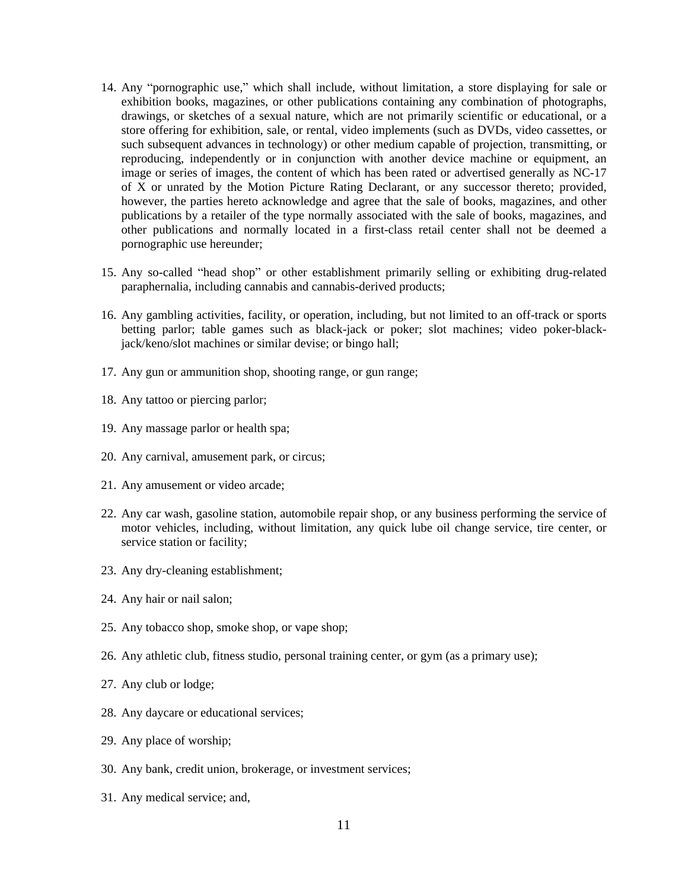- 14. Any "pornographic use," which shall include, without limitation, a store displaying for sale or exhibition books, magazines, or other publications containing any combination of photographs, drawings, or sketches of a sexual nature, which are not primarily scientific or educational, or a store offering for exhibition, sale, or rental, video implements (such as DVDs, video cassettes, or such subsequent advances in technology) or other medium capable of projection, transmitting, or reproducing, independently or in conjunction with another device machine or equipment, an image or series of images, the content of which has been rated or advertised generally as NC-17 of X or unrated by the Motion Picture Rating Declarant, or any successor thereto; provided, however, the parties hereto acknowledge and agree that the sale of books, magazines, and other publications by a retailer of the type normally associated with the sale of books, magazines, and other publications and normally located in a first-class retail center shall not be deemed a pornographic use hereunder;
- 15. Any so-called "head shop" or other establishment primarily selling or exhibiting drug-related paraphernalia, including cannabis and cannabis-derived products;
- 16. Any gambling activities, facility, or operation, including, but not limited to an off-track or sports betting parlor; table games such as black-jack or poker; slot machines; video poker-blackjack/keno/slot machines or similar devise; or bingo hall;
- 17. Any gun or ammunition shop, shooting range, or gun range;
- 18. Any tattoo or piercing parlor;
- 19. Any massage parlor or health spa;
- 20. Any carnival, amusement park, or circus;
- 21. Any amusement or video arcade;
- 22. Any car wash, gasoline station, automobile repair shop, or any business performing the service of motor vehicles, including, without limitation, any quick lube oil change service, tire center, or service station or facility;
- 23. Any dry-cleaning establishment;
- 24. Any hair or nail salon;
- 25. Any tobacco shop, smoke shop, or vape shop;
- 26. Any athletic club, fitness studio, personal training center, or gym (as a primary use);
- 27. Any club or lodge;
- 28. Any daycare or educational services;
- 29. Any place of worship;
- 30. Any bank, credit union, brokerage, or investment services;
- 31. Any medical service; and,